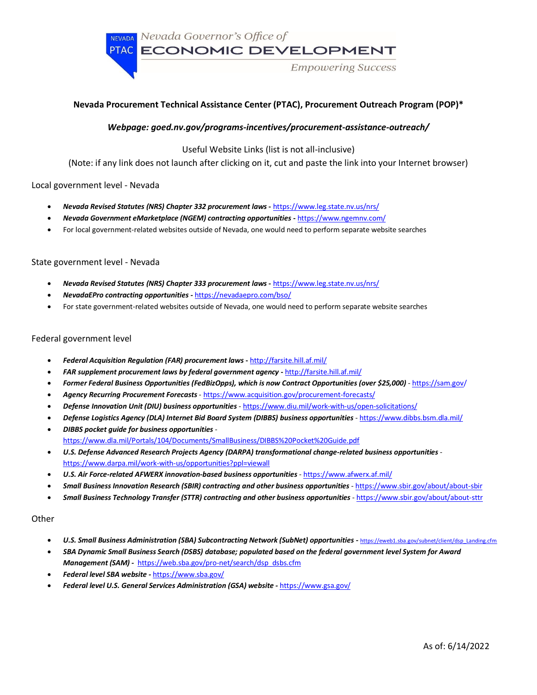NEVADA Nevada Governor's Office of PTAC ECONOMIC DEVELOPMENT

**Empowering Success** 

# **Nevada Procurement Technical Assistance Center (PTAC), Procurement Outreach Program (POP)\***

# *Webpage: goed.nv.gov/programs-incentives/procurement-assistance-outreach/*

Useful Website Links (list is not all-inclusive)

(Note: if any link does not launch after clicking on it, cut and paste the link into your Internet browser)

## Local government level - Nevada

- *Nevada Revised Statutes (NRS) Chapter 332 procurement laws* **-** https://www.leg.state.nv.us/nrs/
- *Nevada Government eMarketplace (NGEM) contracting opportunities* **-** https://www.ngemnv.com/
- For local government-related websites outside of Nevada, one would need to perform separate website searches

### State government level - Nevada

- *Nevada Revised Statutes (NRS) Chapter 333 procurement laws* **-** https://www.leg.state.nv.us/nrs/
- *NevadaEPro contracting opportunities -* https://nevadaepro.com/bso/
- For state government-related websites outside of Nevada, one would need to perform separate website searches

### Federal government level

- *Federal Acquisition Regulation (FAR) procurement laws* **-** http://farsite.hill.af.mil/
- *FAR supplement procurement laws by federal government agency* **-** http://farsite.hill.af.mil/
- *Former Federal Business Opportunities (FedBizOpps), which is now Contract Opportunities (over \$25,000)* https://sam.gov/
- *Agency Recurring Procurement Forecasts* https://www.acquisition.gov/procurement-forecasts/
- *Defense Innovation Unit (DIU) business opportunities*  https://www.diu.mil/work-with-us/open-solicitations/
- *Defense Logistics Agency (DLA) Internet Bid Board System (DIBBS) business opportunities*  https://www.dibbs.bsm.dla.mil/
- *DIBBS pocket guide for business opportunities*  https://www.dla.mil/Portals/104/Documents/SmallBusiness/DIBBS%20Pocket%20Guide.pdf
- *U.S. Defense Advanced Research Projects Agency (DARPA) transformational change-related business opportunities*  https://www.darpa.mil/work-with-us/opportunities?ppl=viewall
- *U.S. Air Force-related AFWERX innovation-based business opportunities*  https://www.afwerx.af.mil/
- *Small Business Innovation Research (SBIR) contracting and other business opportunities*  https://www.sbir.gov/about/about-sbir
- *Small Business Technology Transfer (STTR) contracting and other business opportunities* https://www.sbir.gov/about/about-sttr

### **Other**

- *U.S. Small Business Administration (SBA) Subcontracting Network (SubNet) opportunities -* https://eweb1.sba.gov/subnet/client/dsp\_Landing.cfm
- *SBA Dynamic Small Business Search (DSBS) database; populated based on the federal government level System for Award Management (SAM) -* https://web.sba.gov/pro-net/search/dsp\_dsbs.cfm
- *Federal level SBA website -* https://www.sba.gov/
- *Federal level U.S. General Services Administration (GSA) website -* https://www.gsa.gov/